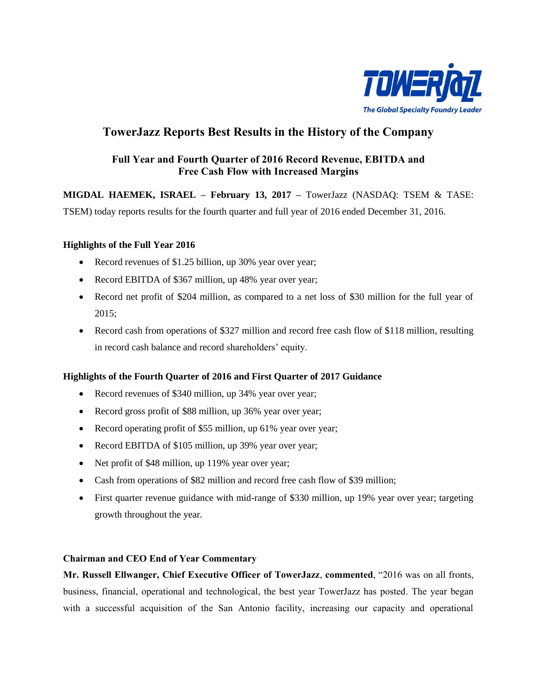

# **TowerJazz Reports Best Results in the History of the Company**

## **Full Year and Fourth Quarter of 2016 Record Revenue, EBITDA and Free Cash Flow with Increased Margins**

**MIGDAL HAEMEK, ISRAEL – February 13, 2017 –** TowerJazz (NASDAQ: TSEM & TASE:

TSEM) today reports results for the fourth quarter and full year of 2016 ended December 31, 2016.

### **Highlights of the Full Year 2016**

- Record revenues of \$1.25 billion, up 30% year over year;
- Record EBITDA of \$367 million, up 48% year over year;
- Record net profit of \$204 million, as compared to a net loss of \$30 million for the full year of 2015;
- Record cash from operations of \$327 million and record free cash flow of \$118 million, resulting in record cash balance and record shareholders' equity.

## **Highlights of the Fourth Quarter of 2016 and First Quarter of 2017 Guidance**

- Record revenues of \$340 million, up 34% year over year;
- Record gross profit of \$88 million, up 36% year over year;
- Record operating profit of \$55 million, up 61% year over year;
- Record EBITDA of \$105 million, up 39% year over year;
- Net profit of \$48 million, up 119% year over year;
- Cash from operations of \$82 million and record free cash flow of \$39 million;
- First quarter revenue guidance with mid-range of \$330 million, up 19% year over year; targeting growth throughout the year.

### **Chairman and CEO End of Year Commentary**

**Mr. Russell Ellwanger, Chief Executive Officer of TowerJazz**, **commented**, "2016 was on all fronts, business, financial, operational and technological, the best year TowerJazz has posted. The year began with a successful acquisition of the San Antonio facility, increasing our capacity and operational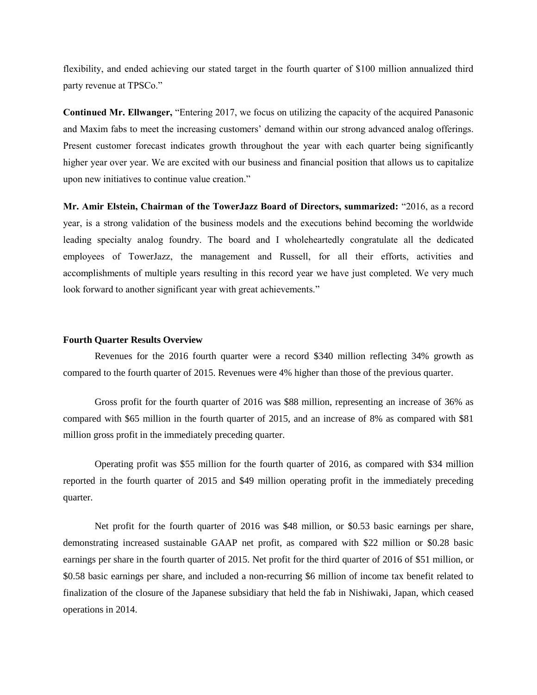flexibility, and ended achieving our stated target in the fourth quarter of \$100 million annualized third party revenue at TPSCo."

**Continued Mr. Ellwanger,** "Entering 2017, we focus on utilizing the capacity of the acquired Panasonic and Maxim fabs to meet the increasing customers' demand within our strong advanced analog offerings. Present customer forecast indicates growth throughout the year with each quarter being significantly higher year over year. We are excited with our business and financial position that allows us to capitalize upon new initiatives to continue value creation."

**Mr. Amir Elstein, Chairman of the TowerJazz Board of Directors, summarized:** "2016, as a record year, is a strong validation of the business models and the executions behind becoming the worldwide leading specialty analog foundry. The board and I wholeheartedly congratulate all the dedicated employees of TowerJazz, the management and Russell, for all their efforts, activities and accomplishments of multiple years resulting in this record year we have just completed. We very much look forward to another significant year with great achievements."

#### **Fourth Quarter Results Overview**

Revenues for the 2016 fourth quarter were a record \$340 million reflecting 34% growth as compared to the fourth quarter of 2015. Revenues were 4% higher than those of the previous quarter.

Gross profit for the fourth quarter of 2016 was \$88 million, representing an increase of 36% as compared with \$65 million in the fourth quarter of 2015, and an increase of 8% as compared with \$81 million gross profit in the immediately preceding quarter.

Operating profit was \$55 million for the fourth quarter of 2016, as compared with \$34 million reported in the fourth quarter of 2015 and \$49 million operating profit in the immediately preceding quarter.

Net profit for the fourth quarter of 2016 was \$48 million, or \$0.53 basic earnings per share, demonstrating increased sustainable GAAP net profit, as compared with \$22 million or \$0.28 basic earnings per share in the fourth quarter of 2015. Net profit for the third quarter of 2016 of \$51 million, or \$0.58 basic earnings per share, and included a non-recurring \$6 million of income tax benefit related to finalization of the closure of the Japanese subsidiary that held the fab in Nishiwaki, Japan, which ceased operations in 2014.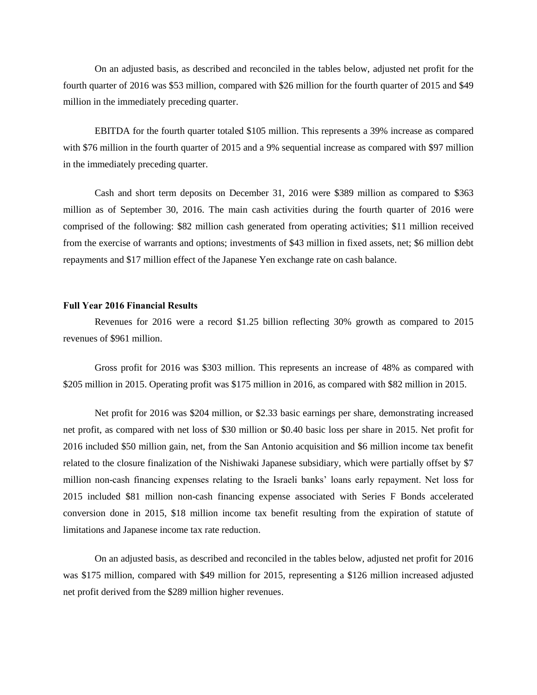On an adjusted basis, as described and reconciled in the tables below, adjusted net profit for the fourth quarter of 2016 was \$53 million, compared with \$26 million for the fourth quarter of 2015 and \$49 million in the immediately preceding quarter.

EBITDA for the fourth quarter totaled \$105 million. This represents a 39% increase as compared with \$76 million in the fourth quarter of 2015 and a 9% sequential increase as compared with \$97 million in the immediately preceding quarter.

Cash and short term deposits on December 31, 2016 were \$389 million as compared to \$363 million as of September 30, 2016. The main cash activities during the fourth quarter of 2016 were comprised of the following: \$82 million cash generated from operating activities; \$11 million received from the exercise of warrants and options; investments of \$43 million in fixed assets, net; \$6 million debt repayments and \$17 million effect of the Japanese Yen exchange rate on cash balance.

#### **Full Year 2016 Financial Results**

Revenues for 2016 were a record \$1.25 billion reflecting 30% growth as compared to 2015 revenues of \$961 million.

Gross profit for 2016 was \$303 million. This represents an increase of 48% as compared with \$205 million in 2015. Operating profit was \$175 million in 2016, as compared with \$82 million in 2015.

Net profit for 2016 was \$204 million, or \$2.33 basic earnings per share, demonstrating increased net profit, as compared with net loss of \$30 million or \$0.40 basic loss per share in 2015. Net profit for 2016 included \$50 million gain, net, from the San Antonio acquisition and \$6 million income tax benefit related to the closure finalization of the Nishiwaki Japanese subsidiary, which were partially offset by \$7 million non-cash financing expenses relating to the Israeli banks' loans early repayment. Net loss for 2015 included \$81 million non-cash financing expense associated with Series F Bonds accelerated conversion done in 2015, \$18 million income tax benefit resulting from the expiration of statute of limitations and Japanese income tax rate reduction.

On an adjusted basis, as described and reconciled in the tables below, adjusted net profit for 2016 was \$175 million, compared with \$49 million for 2015, representing a \$126 million increased adjusted net profit derived from the \$289 million higher revenues.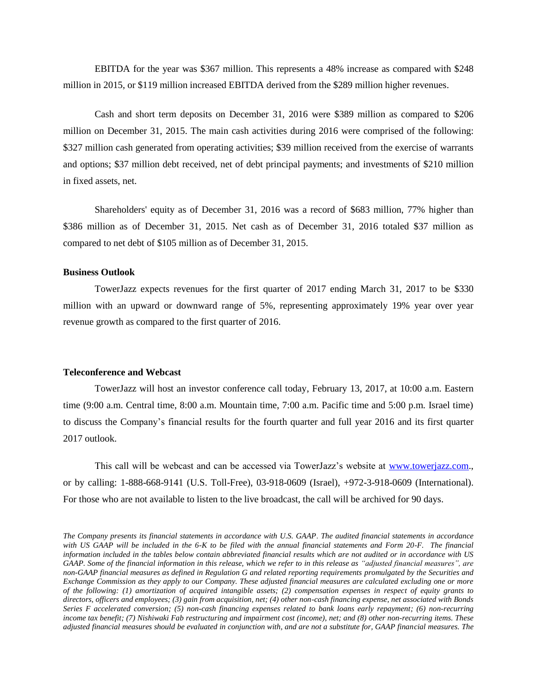EBITDA for the year was \$367 million. This represents a 48% increase as compared with \$248 million in 2015, or \$119 million increased EBITDA derived from the \$289 million higher revenues.

Cash and short term deposits on December 31, 2016 were \$389 million as compared to \$206 million on December 31, 2015. The main cash activities during 2016 were comprised of the following: \$327 million cash generated from operating activities; \$39 million received from the exercise of warrants and options; \$37 million debt received, net of debt principal payments; and investments of \$210 million in fixed assets, net.

Shareholders' equity as of December 31, 2016 was a record of \$683 million, 77% higher than \$386 million as of December 31, 2015. Net cash as of December 31, 2016 totaled \$37 million as compared to net debt of \$105 million as of December 31, 2015.

#### **Business Outlook**

TowerJazz expects revenues for the first quarter of 2017 ending March 31, 2017 to be \$330 million with an upward or downward range of 5%, representing approximately 19% year over year revenue growth as compared to the first quarter of 2016.

#### **Teleconference and Webcast**

TowerJazz will host an investor conference call today, February 13, 2017, at 10:00 a.m. Eastern time (9:00 a.m. Central time, 8:00 a.m. Mountain time, 7:00 a.m. Pacific time and 5:00 p.m. Israel time) to discuss the Company's financial results for the fourth quarter and full year 2016 and its first quarter 2017 outlook.

This call will be webcast and can be accessed via TowerJazz's website at [www.towerjazz.com.](http://cts.businesswire.com/ct/CT?id=smartlink&url=http%3A%2F%2Fwww.towerjazz.com&esheet=50733786&newsitemid=20131022005772&lan=en-US&anchor=www.towerjazz.com&index=2&md5=46e11195b283c30c2b13243c041f14f0), or by calling: 1-888-668-9141 (U.S. Toll-Free), 03-918-0609 (Israel), +972-3-918-0609 (International). For those who are not available to listen to the live broadcast, the call will be archived for 90 days.

*The Company presents its financial statements in accordance with U.S. GAAP*. *The audited financial statements in accordance*  with US GAAP will be included in the 6-K to be filed with the annual financial statements and Form 20-F. The financial *information included in the tables below contain abbreviated financial results which are not audited or in accordance with US GAAP. Some of the financial information in this release, which we refer to in this release as "adjusted financial measures", are non-GAAP financial measures as defined in Regulation G and related reporting requirements promulgated by the Securities and Exchange Commission as they apply to our Company. These adjusted financial measures are calculated excluding one or more of the following: (1) amortization of acquired intangible assets; (2) compensation expenses in respect of equity grants to directors, officers and employees; (3) gain from acquisition, net; (4) other non-cash financing expense, net associated with Bonds Series F accelerated conversion; (5) non-cash financing expenses related to bank loans early repayment; (6) non-recurring income tax benefit; (7) Nishiwaki Fab restructuring and impairment cost (income), net; and (8) other non-recurring items. These adjusted financial measures should be evaluated in conjunction with, and are not a substitute for, GAAP financial measures. The*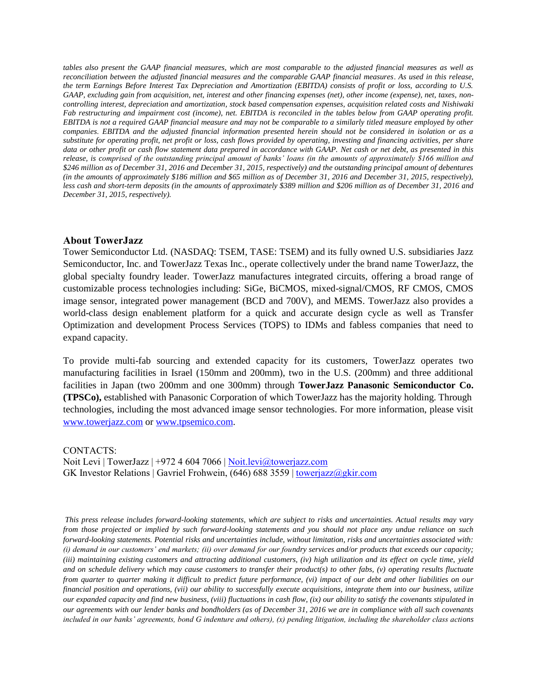*tables also present the GAAP financial measures, which are most comparable to the adjusted financial measures as well as reconciliation between the adjusted financial measures and the comparable GAAP financial measures*. *As used in this release, the term Earnings Before Interest Tax Depreciation and Amortization (EBITDA) consists of profit or loss, according to U.S. GAAP, excluding gain from acquisition, net, interest and other financing expenses (net), other income (expense), net, taxes, noncontrolling interest, depreciation and amortization, stock based compensation expenses, acquisition related costs and Nishiwaki Fab restructuring and impairment cost (income), net. EBITDA is reconciled in the tables below from GAAP operating profit. EBITDA is not a required GAAP financial measure and may not be comparable to a similarly titled measure employed by other companies*. *EBITDA and the adjusted financial information presented herein should not be considered in isolation or as a substitute for operating profit, net profit or loss, cash flows provided by operating, investing and financing activities, per share data or other profit or cash flow statement data prepared in accordance with GAAP. Net cash or net debt, as presented in this release, is comprised of the outstanding principal amount of banks' loans (in the amounts of approximately \$166 million and \$246 million as of December 31, 2016 and December 31, 2015, respectively) and the outstanding principal amount of debentures (in the amounts of approximately \$186 million and \$65 million as of December 31, 2016 and December 31, 2015, respectively), less cash and short-term deposits (in the amounts of approximately \$389 million and \$206 million as of December 31, 2016 and December 31, 2015, respectively).*

#### **About TowerJazz**

Tower Semiconductor Ltd. (NASDAQ: TSEM, TASE: TSEM) and its fully owned U.S. subsidiaries Jazz Semiconductor, Inc. and TowerJazz Texas Inc., operate collectively under the brand name TowerJazz, the global specialty foundry leader. TowerJazz manufactures integrated circuits, offering a broad range of customizable process technologies including: SiGe, BiCMOS, mixed-signal/CMOS, RF CMOS, CMOS image sensor, integrated power management (BCD and 700V), and MEMS. TowerJazz also provides a world-class design enablement platform for a quick and accurate design cycle as well as Transfer Optimization and development Process Services (TOPS) to IDMs and fabless companies that need to expand capacity.

To provide multi-fab sourcing and extended capacity for its customers, TowerJazz operates two manufacturing facilities in Israel (150mm and 200mm), two in the U.S. (200mm) and three additional facilities in Japan (two 200mm and one 300mm) through **TowerJazz Panasonic Semiconductor Co. (TPSCo),** established with Panasonic Corporation of which TowerJazz has the majority holding. Through technologies, including the most advanced image sensor technologies. For more information, please visit [www.towerjazz.com](http://www.towerjazz.com/) or [www.tpsemico.com.](http://www.tpsemico.com/)

CONTACTS:

Noit Levi | TowerJazz | +972 4 604 7066 | [Noit.levi@towerjazz.com](mailto:Noit.levi@towerjazz.com) GK Investor Relations | Gavriel Frohwein, (646) 688 3559 [| towerjazz@gkir.com](mailto:towerjazz@gkir.com)

*This press release includes forward-looking statements, which are subject to risks and uncertainties. Actual results may vary from those projected or implied by such forward-looking statements and you should not place any undue reliance on such forward-looking statements. Potential risks and uncertainties include, without limitation, risks and uncertainties associated with: (i) demand in our customers' end markets; (ii) over demand for our foundry services and/or products that exceeds our capacity; (iii) maintaining existing customers and attracting additional customers, (iv) high utilization and its effect on cycle time, yield and on schedule delivery which may cause customers to transfer their product(s) to other fabs, (v) operating results fluctuate from quarter to quarter making it difficult to predict future performance, (vi) impact of our debt and other liabilities on our financial position and operations, (vii) our ability to successfully execute acquisitions, integrate them into our business, utilize our expanded capacity and find new business, (viii) fluctuations in cash flow, (ix) our ability to satisfy the covenants stipulated in our agreements with our lender banks and bondholders (as of December 31, 2016 we are in compliance with all such covenants included in our banks' agreements, bond G indenture and others), (x) pending litigation, including the shareholder class actions*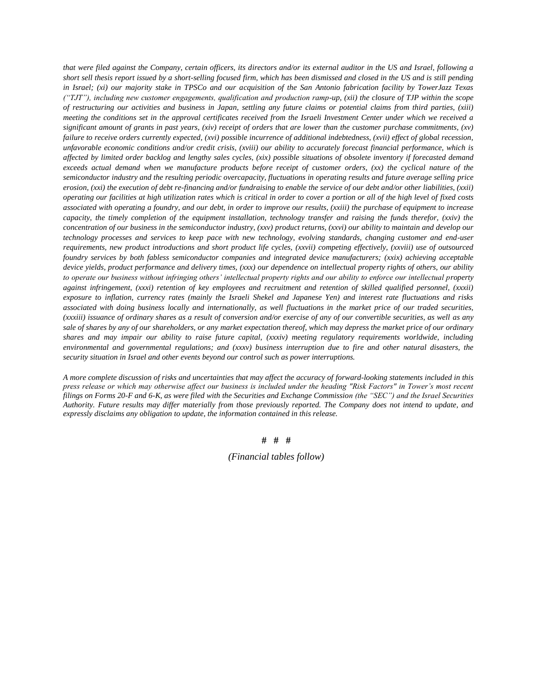*that were filed against the Company, certain officers, its directors and/or its external auditor in the US and Israel, following a short sell thesis report issued by a short-selling focused firm, which has been dismissed and closed in the US and is still pending in Israel; (xi) our majority stake in TPSCo and our acquisition of the San Antonio fabrication facility by TowerJazz Texas ("TJT"), including new customer engagements, qualification and production ramp-up, (xii) the closure of TJP within the scope of restructuring our activities and business in Japan, settling any future claims or potential claims from third parties, (xiii) meeting the conditions set in the approval certificates received from the Israeli Investment Center under which we received a significant amount of grants in past years, (xiv) receipt of orders that are lower than the customer purchase commitments, (xv) failure to receive orders currently expected, (xvi) possible incurrence of additional indebtedness, (xvii) effect of global recession, unfavorable economic conditions and/or credit crisis, (xviii) our ability to accurately forecast financial performance, which is affected by limited order backlog and lengthy sales cycles, (xix) possible situations of obsolete inventory if forecasted demand exceeds actual demand when we manufacture products before receipt of customer orders, (xx) the cyclical nature of the semiconductor industry and the resulting periodic overcapacity, fluctuations in operating results and future average selling price erosion, (xxi) the execution of debt re-financing and/or fundraising to enable the service of our debt and/or other liabilities, (xxii) operating our facilities at high utilization rates which is critical in order to cover a portion or all of the high level of fixed costs associated with operating a foundry, and our debt, in order to improve our results, (xxiii) the purchase of equipment to increase capacity, the timely completion of the equipment installation, technology transfer and raising the funds therefor, (xxiv) the concentration of our business in the semiconductor industry, (xxv) product returns, (xxvi) our ability to maintain and develop our technology processes and services to keep pace with new technology, evolving standards, changing customer and end-user requirements, new product introductions and short product life cycles, (xxvii) competing effectively, (xxviii) use of outsourced foundry services by both fabless semiconductor companies and integrated device manufacturers; (xxix) achieving acceptable device yields, product performance and delivery times, (xxx) our dependence on intellectual property rights of others, our ability to operate our business without infringing others' intellectual property rights and our ability to enforce our intellectual property against infringement, (xxxi) retention of key employees and recruitment and retention of skilled qualified personnel, (xxxii) exposure to inflation, currency rates (mainly the Israeli Shekel and Japanese Yen) and interest rate fluctuations and risks*  associated with doing business locally and internationally, as well fluctuations in the market price of our traded securities, *(xxxiii) issuance of ordinary shares as a result of conversion and/or exercise of any of our convertible securities, as well as any sale of shares by any of our shareholders, or any market expectation thereof, which may depress the market price of our ordinary shares and may impair our ability to raise future capital, (xxxiv) meeting regulatory requirements worldwide, including environmental and governmental regulations; and (xxxv) business interruption due to fire and other natural disasters, the security situation in Israel and other events beyond our control such as power interruptions.*

*A more complete discussion of risks and uncertainties that may affect the accuracy of forward-looking statements included in this press release or which may otherwise affect our business is included under the heading "Risk Factors" in Tower's most recent filings on Forms 20-F and 6-K, as were filed with the Securities and Exchange Commission (the "SEC") and the Israel Securities Authority. Future results may differ materially from those previously reported. The Company does not intend to update, and expressly disclaims any obligation to update, the information contained in this release.*

#### **# # #**

*(Financial tables follow)*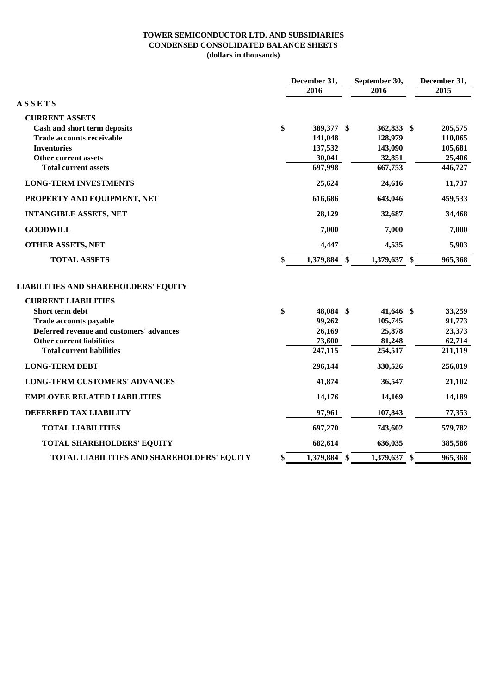#### **TOWER SEMICONDUCTOR LTD. AND SUBSIDIARIES CONDENSED CONSOLIDATED BALANCE SHEETS (dollars in thousands)**

|                                             | December 31,       |  | September 30,  |  | December 31, |  |
|---------------------------------------------|--------------------|--|----------------|--|--------------|--|
|                                             | 2016               |  | 2016           |  | 2015         |  |
| <b>ASSETS</b>                               |                    |  |                |  |              |  |
| <b>CURRENT ASSETS</b>                       |                    |  |                |  |              |  |
| Cash and short term deposits                | \$<br>389,377 \$   |  | 362,833 \$     |  | 205,575      |  |
| <b>Trade accounts receivable</b>            | 141,048            |  | 128,979        |  | 110,065      |  |
| <b>Inventories</b>                          | 137,532            |  | 143,090        |  | 105,681      |  |
| <b>Other current assets</b>                 | 30,041             |  | 32,851         |  | 25,406       |  |
| <b>Total current assets</b>                 | 697,998            |  | 667,753        |  | 446,727      |  |
| <b>LONG-TERM INVESTMENTS</b>                | 25,624             |  | 24,616         |  | 11,737       |  |
| PROPERTY AND EQUIPMENT, NET                 | 616,686            |  | 643,046        |  | 459,533      |  |
| <b>INTANGIBLE ASSETS, NET</b>               | 28,129             |  | 32,687         |  | 34,468       |  |
| <b>GOODWILL</b>                             | 7,000              |  | 7,000          |  | 7,000        |  |
| <b>OTHER ASSETS, NET</b>                    | 4,447              |  | 4,535          |  | 5,903        |  |
| <b>TOTAL ASSETS</b>                         | \$<br>1,379,884 \$ |  | 1,379,637 \$   |  | 965,368      |  |
| <b>LIABILITIES AND SHAREHOLDERS' EQUITY</b> |                    |  |                |  |              |  |
| <b>CURRENT LIABILITIES</b>                  |                    |  |                |  |              |  |
| Short term debt                             | \$<br>48,084 \$    |  | 41,646 \$      |  | 33,259       |  |
| Trade accounts payable                      | 99,262             |  | 105,745        |  | 91,773       |  |
| Deferred revenue and customers' advances    | 26,169             |  | 25,878         |  | 23,373       |  |
| <b>Other current liabilities</b>            | 73,600             |  | 81,248         |  | 62,714       |  |
| <b>Total current liabilities</b>            | 247,115            |  | 254,517        |  | 211,119      |  |
| <b>LONG-TERM DEBT</b>                       | 296,144            |  | 330,526        |  | 256,019      |  |
| <b>LONG-TERM CUSTOMERS' ADVANCES</b>        | 41,874             |  | 36,547         |  | 21,102       |  |
| <b>EMPLOYEE RELATED LIABILITIES</b>         | 14,176             |  | 14,169         |  | 14,189       |  |
| DEFERRED TAX LIABILITY                      | 97,961             |  | 107,843        |  | 77,353       |  |
| <b>TOTAL LIABILITIES</b>                    | 697,270            |  | 743,602        |  | 579,782      |  |
| TOTAL SHAREHOLDERS' EQUITY                  | 682,614            |  | 636,035        |  | 385,586      |  |
| TOTAL LIABILITIES AND SHAREHOLDERS' EQUITY  | \$<br>1,379,884 \$ |  | $1,379,637$ \$ |  | 965,368      |  |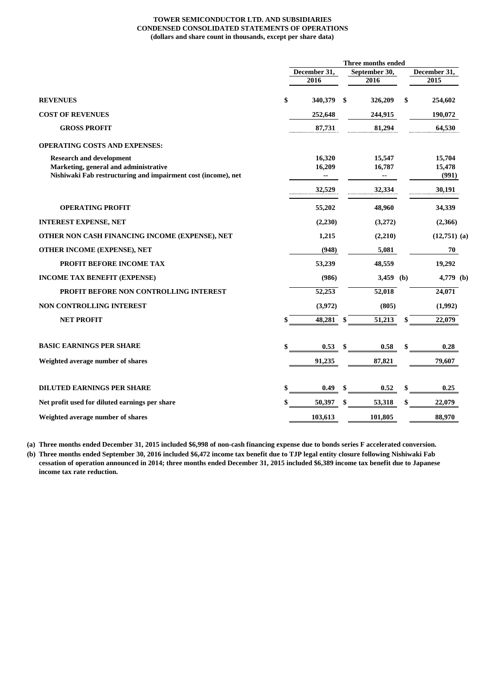#### **TOWER SEMICONDUCTOR LTD. AND SUBSIDIARIES CONDENSED CONSOLIDATED STATEMENTS OF OPERATIONS (dollars and share count in thousands, except per share data)**

|                                                               |              |         |    | Three months ended |                |
|---------------------------------------------------------------|--------------|---------|----|--------------------|----------------|
|                                                               | December 31, |         |    | September 30,      | December 31,   |
|                                                               |              | 2016    |    | 2016               | 2015           |
| <b>REVENUES</b>                                               | \$           | 340,379 | \$ | 326,209            | \$<br>254,602  |
| <b>COST OF REVENUES</b>                                       |              | 252,648 |    | 244,915            | 190,072        |
| <b>GROSS PROFIT</b>                                           |              | 87,731  |    | 81,294             | 64,530         |
| <b>OPERATING COSTS AND EXPENSES:</b>                          |              |         |    |                    |                |
| <b>Research and development</b>                               |              | 16,320  |    | 15,547             | 15,704         |
| Marketing, general and administrative                         |              | 16,209  |    | 16,787             | 15,478         |
| Nishiwaki Fab restructuring and impairment cost (income), net |              | --      |    | --                 | (991)          |
|                                                               |              | 32,529  |    | 32,334             | 30,191         |
| <b>OPERATING PROFIT</b>                                       |              | 55,202  |    | 48,960             | 34,339         |
| <b>INTEREST EXPENSE, NET</b>                                  |              | (2,230) |    | (3,272)            | (2,366)        |
| OTHER NON CASH FINANCING INCOME (EXPENSE), NET                |              | 1,215   |    | (2,210)            | $(12,751)$ (a) |
| OTHER INCOME (EXPENSE), NET                                   |              | (948)   |    | 5,081              | 70             |
| <b>PROFIT BEFORE INCOME TAX</b>                               |              | 53,239  |    | 48,559             | 19,292         |
| <b>INCOME TAX BENEFIT (EXPENSE)</b>                           |              | (986)   |    | 3,459 (b)          | 4,779 (b)      |
| PROFIT BEFORE NON CONTROLLING INTEREST                        |              | 52,253  |    | 52,018             | 24,071         |
| NON CONTROLLING INTEREST                                      |              | (3,972) |    | (805)              | (1,992)        |
| <b>NET PROFIT</b>                                             |              | 48,281  | \$ | 51,213             | \$<br>22,079   |
| <b>BASIC EARNINGS PER SHARE</b>                               |              | 0.53    |    | 0.58               | \$<br>0.28     |
| Weighted average number of shares                             |              | 91,235  |    | 87,821             | 79,607         |
|                                                               |              |         |    |                    |                |
| <b>DILUTED EARNINGS PER SHARE</b>                             |              | 0.49    | S  | 0.52               | 0.25           |
| Net profit used for diluted earnings per share                |              | 50,397  | \$ | 53,318             | \$<br>22,079   |
| Weighted average number of shares                             |              | 103,613 |    | 101,805            | 88,970         |

**(a) Three months ended December 31, 2015 included \$6,998 of non-cash financing expense due to bonds series F accelerated conversion.**

**(b) Three months ended September 30, 2016 included \$6,472 income tax benefit due to TJP legal entity closure following Nishiwaki Fab cessation of operation announced in 2014; three months ended December 31, 2015 included \$6,389 income tax benefit due to Japanese income tax rate reduction.**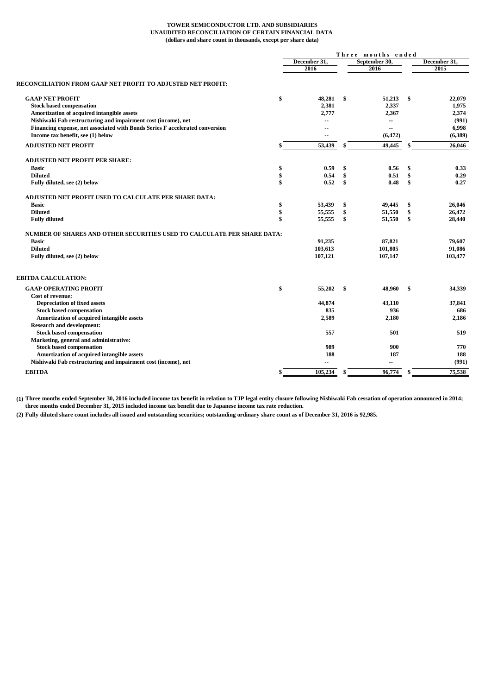#### **TOWER SEMICONDUCTOR LTD. AND SUBSIDIARIES UNAUDITED RECONCILIATION OF CERTAIN FINANCIAL DATA (dollars and share count in thousands, except per share data)**

|                                                                              |    | Three months ended |    |                          |     |              |
|------------------------------------------------------------------------------|----|--------------------|----|--------------------------|-----|--------------|
|                                                                              |    | December 31.       |    | September 30,            |     | December 31. |
|                                                                              |    | 2016               |    | 2016                     |     | 2015         |
| RECONCILIATION FROM GAAP NET PROFIT TO ADJUSTED NET PROFIT:                  |    |                    |    |                          |     |              |
| <b>GAAP NET PROFIT</b>                                                       | \$ | 48,281             | \$ | 51,213                   | -\$ | 22,079       |
| <b>Stock based compensation</b>                                              |    | 2,381              |    | 2,337                    |     | 1,975        |
| Amortization of acquired intangible assets                                   |    | 2,777              |    | 2,367                    |     | 2,374        |
| Nishiwaki Fab restructuring and impairment cost (income), net                |    | $\overline{a}$     |    | ۰.                       |     | (991)        |
| Financing expense, net associated with Bonds Series F accelerated conversion |    | --                 |    | $\overline{\phantom{a}}$ |     | 6,998        |
| Income tax benefit, see (1) below                                            |    |                    |    | (6, 472)                 |     | (6,389)      |
| <b>ADJUSTED NET PROFIT</b>                                                   |    | 53,439             | \$ | 49,445                   | \$  | 26,046       |
| <b>ADJUSTED NET PROFIT PER SHARE:</b>                                        |    |                    |    |                          |     |              |
| <b>Basic</b>                                                                 | \$ | 0.59               | \$ | 0.56                     | \$  | 0.33         |
| <b>Diluted</b>                                                               | \$ | 0.54               | \$ | 0.51                     | \$  | 0.29         |
| Fully diluted, see (2) below                                                 | \$ | 0.52               | \$ | 0.48                     | \$  | 0.27         |
| ADJUSTED NET PROFIT USED TO CALCULATE PER SHARE DATA:                        |    |                    |    |                          |     |              |
| <b>Basic</b>                                                                 | \$ | 53,439             | \$ | 49,445                   | \$  | 26,046       |
| <b>Diluted</b>                                                               | \$ | 55,555             | \$ | 51,550                   | \$  | 26,472       |
| <b>Fully diluted</b>                                                         | \$ | 55,555             | \$ | 51,550                   | \$  | 28,440       |
| NUMBER OF SHARES AND OTHER SECURITIES USED TO CALCULATE PER SHARE DATA:      |    |                    |    |                          |     |              |
| <b>Basic</b>                                                                 |    | 91,235             |    | 87,821                   |     | 79,607       |
| <b>Diluted</b>                                                               |    | 103,613            |    | 101,805                  |     | 91,086       |
| Fully diluted, see (2) below                                                 |    | 107,121            |    | 107,147                  |     | 103,477      |
| EBITDA CALCULATION:                                                          |    |                    |    |                          |     |              |
| <b>GAAP OPERATING PROFIT</b>                                                 | \$ | 55,202             | \$ | 48,960                   | -\$ | 34,339       |
| <b>Cost of revenue:</b>                                                      |    |                    |    |                          |     |              |
| <b>Depreciation of fixed assets</b>                                          |    | 44,874             |    | 43,110                   |     | 37,841       |
| <b>Stock based compensation</b>                                              |    | 835                |    | 936                      |     | 686          |
| Amortization of acquired intangible assets                                   |    | 2,589              |    | 2,180                    |     | 2,186        |
| <b>Research and development:</b>                                             |    |                    |    |                          |     |              |
| <b>Stock based compensation</b>                                              |    | 557                |    | 501                      |     | 519          |
| Marketing, general and administrative:<br><b>Stock based compensation</b>    |    | 989                |    | 900                      |     | 770          |
| Amortization of acquired intangible assets                                   |    | 188                |    | 187                      |     | 188          |
| Nishiwaki Fab restructuring and impairment cost (income), net                |    | ۰.                 |    | --                       |     | (991)        |
| <b>EBITDA</b>                                                                | S  | 105,234            | \$ | 96,774                   | \$  | 75,538       |
|                                                                              |    |                    |    |                          |     |              |

**(1) Three months ended September 30, 2016 included income tax benefit in relation to TJP legal entity closure following Nishiwaki Fab cessation of operation announced in 2014; three months ended December 31, 2015 included income tax benefit due to Japanese income tax rate reduction.**

**(2) Fully diluted share count includes all issued and outstanding securities; outstanding ordinary share count as of December 31, 2016 is 92,985.**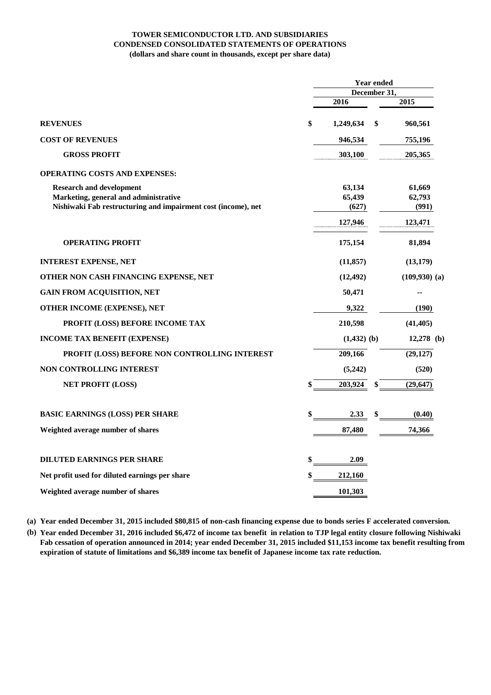#### **TOWER SEMICONDUCTOR LTD. AND SUBSIDIARIES CONDENSED CONSOLIDATED STATEMENTS OF OPERATIONS (dollars and share count in thousands, except per share data)**

|                                                               | <b>Year ended</b> |    |                   |  |  |  |
|---------------------------------------------------------------|-------------------|----|-------------------|--|--|--|
|                                                               | December 31,      |    |                   |  |  |  |
|                                                               | 2016              |    | 2015              |  |  |  |
| <b>REVENUES</b>                                               | \$<br>1,249,634   | \$ | 960,561           |  |  |  |
| <b>COST OF REVENUES</b>                                       | 946,534           |    | 755,196           |  |  |  |
| <b>GROSS PROFIT</b>                                           | 303,100           |    | 205,365           |  |  |  |
| <b>OPERATING COSTS AND EXPENSES:</b>                          |                   |    |                   |  |  |  |
| <b>Research and development</b>                               | 63,134            |    | 61,669            |  |  |  |
| Marketing, general and administrative                         | 65,439            |    | 62,793            |  |  |  |
| Nishiwaki Fab restructuring and impairment cost (income), net | (627)             |    | (991)             |  |  |  |
|                                                               | 127,946           |    | 123,471           |  |  |  |
| <b>OPERATING PROFIT</b>                                       | 175,154           |    | 81,894            |  |  |  |
| <b>INTEREST EXPENSE, NET</b>                                  | (11, 857)         |    | (13, 179)         |  |  |  |
| OTHER NON CASH FINANCING EXPENSE, NET                         | (12, 492)         |    | $(109,930)$ $(a)$ |  |  |  |
| <b>GAIN FROM ACQUISITION, NET</b>                             | 50,471            |    | --                |  |  |  |
| OTHER INCOME (EXPENSE), NET                                   | 9,322             |    | (190)             |  |  |  |
| PROFIT (LOSS) BEFORE INCOME TAX                               | 210,598           |    | (41, 405)         |  |  |  |
| <b>INCOME TAX BENEFIT (EXPENSE)</b>                           | $(1,432)$ (b)     |    | $12,278$ (b)      |  |  |  |
| PROFIT (LOSS) BEFORE NON CONTROLLING INTEREST                 | 209,166           |    | (29, 127)         |  |  |  |
| <b>NON CONTROLLING INTEREST</b>                               | (5,242)           |    | (520)             |  |  |  |
| <b>NET PROFIT (LOSS)</b>                                      | \$<br>203,924     |    | (29, 647)         |  |  |  |
| <b>BASIC EARNINGS (LOSS) PER SHARE</b>                        | \$<br>2.33        | \$ | (0.40)            |  |  |  |
| Weighted average number of shares                             | 87,480            |    | 74,366            |  |  |  |
|                                                               |                   |    |                   |  |  |  |
| <b>DILUTED EARNINGS PER SHARE</b>                             | \$<br>2.09        |    |                   |  |  |  |
| Net profit used for diluted earnings per share                | \$<br>212,160     |    |                   |  |  |  |
| Weighted average number of shares                             | 101,303           |    |                   |  |  |  |

**(a) Year ended December 31, 2015 included \$80,815 of non-cash financing expense due to bonds series F accelerated conversion.**

**(b) Year ended December 31, 2016 included \$6,472 of income tax benefit in relation to TJP legal entity closure following Nishiwaki Fab cessation of operation announced in 2014; year ended December 31, 2015 included \$11,153 income tax benefit resulting from expiration of statute of limitations and \$6,389 income tax benefit of Japanese income tax rate reduction.**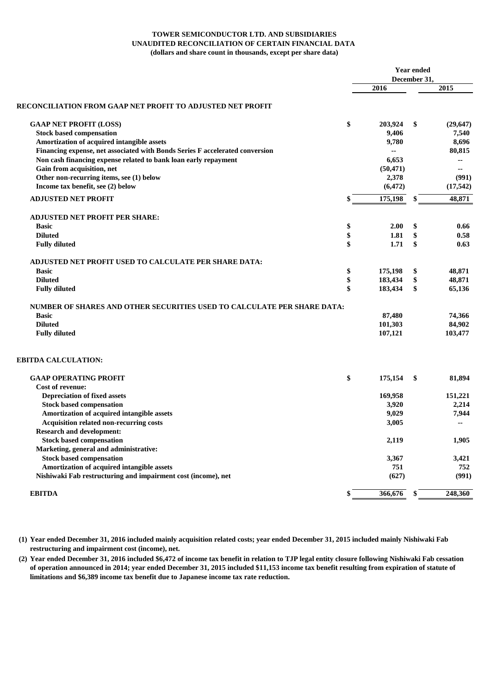#### **TOWER SEMICONDUCTOR LTD. AND SUBSIDIARIES UNAUDITED RECONCILIATION OF CERTAIN FINANCIAL DATA (dollars and share count in thousands, except per share data)**

|                                                                              | <b>Year ended</b> |              |                |  |  |
|------------------------------------------------------------------------------|-------------------|--------------|----------------|--|--|
|                                                                              |                   | December 31, |                |  |  |
|                                                                              | 2016              |              | 2015           |  |  |
| RECONCILIATION FROM GAAP NET PROFIT TO ADJUSTED NET PROFIT                   |                   |              |                |  |  |
| <b>GAAP NET PROFIT (LOSS)</b>                                                | \$<br>203,924     | \$           | (29,647)       |  |  |
| <b>Stock based compensation</b>                                              | 9,406             |              | 7,540          |  |  |
| Amortization of acquired intangible assets                                   | 9,780             |              | 8,696          |  |  |
| Financing expense, net associated with Bonds Series F accelerated conversion |                   |              | 80.815         |  |  |
| Non cash financing expense related to bank loan early repayment              | 6,653             |              | --             |  |  |
| Gain from acquisition, net                                                   | (50, 471)         |              | --             |  |  |
| Other non-recurring items, see (1) below                                     | 2,378             |              | (991)          |  |  |
| Income tax benefit, see (2) below                                            | (6, 472)          |              | (17, 542)      |  |  |
| <b>ADJUSTED NET PROFIT</b>                                                   | \$<br>175,198     | \$           | 48,871         |  |  |
| <b>ADJUSTED NET PROFIT PER SHARE:</b>                                        |                   |              |                |  |  |
| <b>Basic</b>                                                                 | \$<br>2.00        | \$           | 0.66           |  |  |
| <b>Diluted</b>                                                               | \$<br>1.81        | \$           | 0.58           |  |  |
| <b>Fully diluted</b>                                                         | \$<br>1.71        | \$           | 0.63           |  |  |
| ADJUSTED NET PROFIT USED TO CALCULATE PER SHARE DATA:                        |                   |              |                |  |  |
| <b>Basic</b>                                                                 | \$<br>175,198     | \$           | 48,871         |  |  |
| <b>Diluted</b>                                                               | \$<br>183,434     | \$           | 48,871         |  |  |
| <b>Fully diluted</b>                                                         | \$<br>183,434     | \$           | 65,136         |  |  |
| NUMBER OF SHARES AND OTHER SECURITIES USED TO CALCULATE PER SHARE DATA:      |                   |              |                |  |  |
| <b>Basic</b>                                                                 | 87,480            |              | 74,366         |  |  |
| <b>Diluted</b>                                                               | 101,303           |              | 84,902         |  |  |
| <b>Fully diluted</b>                                                         | 107,121           |              | 103,477        |  |  |
| <b>EBITDA CALCULATION:</b>                                                   |                   |              |                |  |  |
| <b>GAAP OPERATING PROFIT</b>                                                 | \$<br>175,154     | \$           | 81,894         |  |  |
| Cost of revenue:                                                             |                   |              |                |  |  |
| <b>Depreciation of fixed assets</b>                                          | 169,958           |              | 151,221        |  |  |
| <b>Stock based compensation</b>                                              | 3,920             |              | 2,214          |  |  |
| Amortization of acquired intangible assets                                   | 9,029             |              | 7,944          |  |  |
| Acquisition related non-recurring costs                                      | 3,005             |              | $\overline{a}$ |  |  |
| <b>Research and development:</b>                                             |                   |              |                |  |  |
| <b>Stock based compensation</b>                                              | 2,119             |              | 1,905          |  |  |
| Marketing, general and administrative:                                       |                   |              |                |  |  |
| <b>Stock based compensation</b>                                              | 3,367             |              | 3,421          |  |  |
| Amortization of acquired intangible assets                                   | 751               |              | 752            |  |  |
| Nishiwaki Fab restructuring and impairment cost (income), net                | (627)             |              | (991)          |  |  |
| <b>EBITDA</b>                                                                | \$<br>366,676     | \$           | 248,360        |  |  |

**(1) Year ended December 31, 2016 included mainly acquisition related costs; year ended December 31, 2015 included mainly Nishiwaki Fab restructuring and impairment cost (income), net.**

**(2) Year ended December 31, 2016 included \$6,472 of income tax benefit in relation to TJP legal entity closure following Nishiwaki Fab cessation of operation announced in 2014; year ended December 31, 2015 included \$11,153 income tax benefit resulting from expiration of statute of limitations and \$6,389 income tax benefit due to Japanese income tax rate reduction.**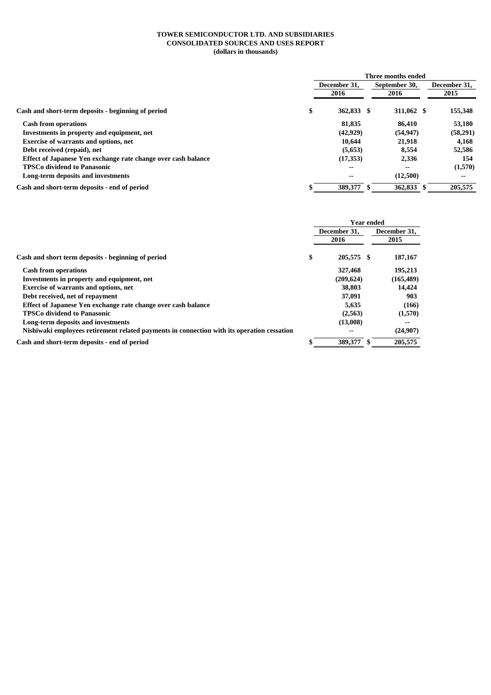#### **TOWER SEMICONDUCTOR LTD. AND SUBSIDIARIES CONSOLIDATED SOURCES AND USES REPORT (dollars in thousands)**

|                                                               | Three months ended       |  |                          |  |              |  |
|---------------------------------------------------------------|--------------------------|--|--------------------------|--|--------------|--|
|                                                               | December 31.             |  | September 30,            |  | December 31, |  |
|                                                               | 2016                     |  | 2016                     |  | 2015         |  |
| Cash and short-term deposits - beginning of period            | \$<br>362,833 \$         |  | 311,062 \$               |  | 155,348      |  |
| <b>Cash from operations</b>                                   | 81,835                   |  | 86.410                   |  | 53,180       |  |
| Investments in property and equipment, net                    | (42, 929)                |  | (54, 947)                |  | (58,291)     |  |
| <b>Exercise of warrants and options, net</b>                  | 10.644                   |  | 21,918                   |  | 4,168        |  |
| Debt received (repaid), net                                   | (5,653)                  |  | 8,554                    |  | 52,586       |  |
| Effect of Japanese Yen exchange rate change over cash balance | (17,353)                 |  | 2,336                    |  | 154          |  |
| <b>TPSCo dividend to Panasonic</b>                            | $\overline{\phantom{a}}$ |  | $\overline{\phantom{a}}$ |  | (1,570)      |  |
| Long-term deposits and investments                            | $\overline{\phantom{a}}$ |  | (12,500)                 |  | $- -$        |  |
| Cash and short-term deposits - end of period                  | 389,377                  |  | 362,833                  |  | 205,575      |  |

|                                                                                            | <b>Year ended</b> |              |  |              |  |
|--------------------------------------------------------------------------------------------|-------------------|--------------|--|--------------|--|
|                                                                                            |                   | December 31. |  | December 31, |  |
|                                                                                            |                   | 2016         |  | 2015         |  |
| Cash and short term deposits - beginning of period                                         | \$                | 205,575 \$   |  | 187,167      |  |
| <b>Cash from operations</b>                                                                |                   | 327,468      |  | 195,213      |  |
| Investments in property and equipment, net                                                 |                   | (209, 624)   |  | (165, 489)   |  |
| <b>Exercise of warrants and options, net</b>                                               |                   | 38,803       |  | 14,424       |  |
| Debt received, net of repayment                                                            |                   | 37,091       |  | 903          |  |
| Effect of Japanese Yen exchange rate change over cash balance                              |                   | 5.635        |  | (166)        |  |
| <b>TPSCo dividend to Panasonic</b>                                                         |                   | (2,563)      |  | (1,570)      |  |
| Long-term deposits and investments                                                         |                   | (13,008)     |  | --           |  |
| Nishiwaki employees retirement related payments in connection with its operation cessation |                   | --           |  | (24,907)     |  |
| Cash and short-term deposits - end of period                                               |                   | 389,377      |  | 205,575      |  |